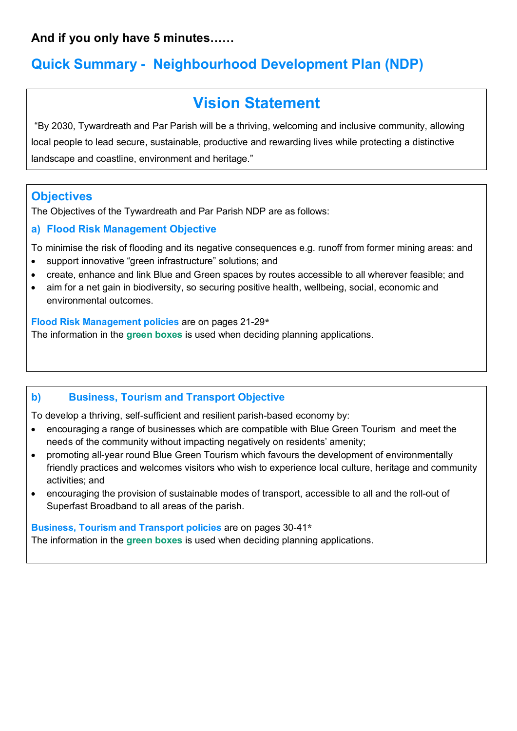**And if you only have 5 minutes……**

## **Quick Summary - Neighbourhood Development Plan (NDP)**

# **Vision Statement**

"By 2030, Tywardreath and Par Parish will be a thriving, welcoming and inclusive community, allowing local people to lead secure, sustainable, productive and rewarding lives while protecting a distinctive landscape and coastline, environment and heritage."

## **Objectives**

The Objectives of the Tywardreath and Par Parish NDP are as follows:

### **a) Flood Risk Management Objective**

To minimise the risk of flooding and its negative consequences e.g. runoff from former mining areas: and

- support innovative "green infrastructure" solutions; and
- create, enhance and link Blue and Green spaces by routes accessible to all wherever feasible; and
- aim for a net gain in biodiversity, so securing positive health, wellbeing, social, economic and environmental outcomes.

**Flood Risk Management policies** are on pages 21-29**\*** The information in the **green boxes** is used when deciding planning applications.

#### **b) Business, Tourism and Transport Objective**

To develop a thriving, self-sufficient and resilient parish-based economy by:

- encouraging a range of businesses which are compatible with Blue Green Tourism and meet the needs of the community without impacting negatively on residents' amenity;
- promoting all-year round Blue Green Tourism which favours the development of environmentally friendly practices and welcomes visitors who wish to experience local culture, heritage and community activities; and
- encouraging the provision of sustainable modes of transport, accessible to all and the roll-out of Superfast Broadband to all areas of the parish.

**Business, Tourism and Transport policies** are on pages 30-41**\***

The information in the **green boxes** is used when deciding planning applications.